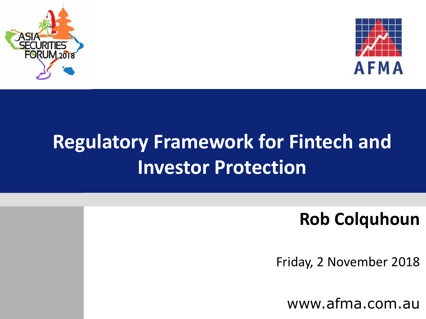



#### **Regulatory Framework for Fintech and Investor Protection**

#### **Rob Colquhoun**

Friday, 2 November 2018

www.afma.com.au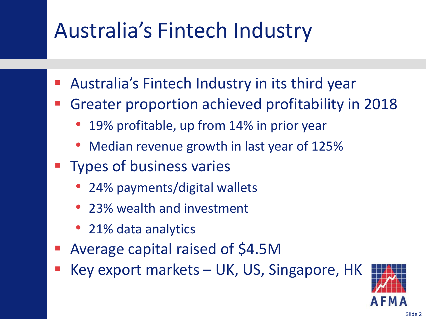# Australia's Fintech Industry

- Australia's Fintech Industry in its third year
- Greater proportion achieved profitability in 2018
	- 19% profitable, up from 14% in prior year
	- Median revenue growth in last year of 125%
- Types of business varies
	- 24% payments/digital wallets
	- 23% wealth and investment
	- 21% data analytics
- Average capital raised of \$4.5M
- Key export markets UK, US, Singapore, HK

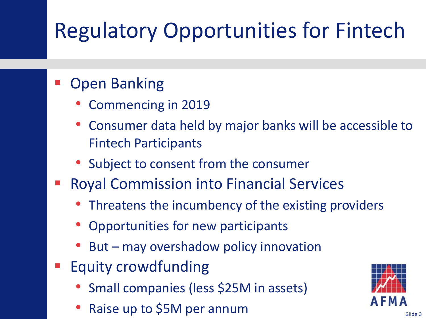# Regulatory Opportunities for Fintech

#### Open Banking

- Commencing in 2019
- Consumer data held by major banks will be accessible to Fintech Participants
- Subject to consent from the consumer
- Royal Commission into Financial Services
	- Threatens the incumbency of the existing providers
	- Opportunities for new participants
	- But may overshadow policy innovation
- Equity crowdfunding
	- Small companies (less \$25M in assets)
	- Raise up to \$5M per annum

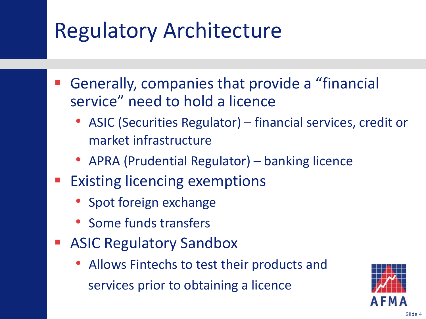#### Regulatory Architecture

- Generally, companies that provide a "financial service" need to hold a licence
	- ASIC (Securities Regulator) financial services, credit or market infrastructure
	- APRA (Prudential Regulator) banking licence
- Existing licencing exemptions
	- Spot foreign exchange
	- Some funds transfers
- ASIC Regulatory Sandbox
	- Allows Fintechs to test their products and services prior to obtaining a licence

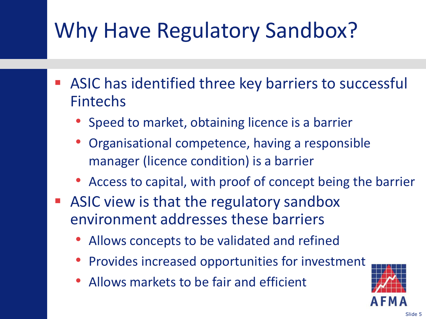# Why Have Regulatory Sandbox?

- ASIC has identified three key barriers to successful Fintechs
	- Speed to market, obtaining licence is a barrier
	- Organisational competence, having a responsible manager (licence condition) is a barrier
	- Access to capital, with proof of concept being the barrier
- ASIC view is that the regulatory sandbox environment addresses these barriers
	- Allows concepts to be validated and refined
	- Provides increased opportunities for investment
	- Allows markets to be fair and efficient

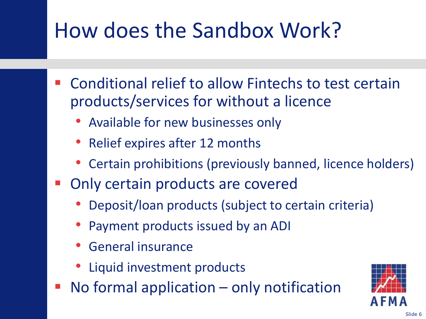#### How does the Sandbox Work?

- Conditional relief to allow Fintechs to test certain products/services for without a licence
	- Available for new businesses only
	- Relief expires after 12 months
	- Certain prohibitions (previously banned, licence holders)
- Only certain products are covered
	- Deposit/loan products (subject to certain criteria)
	- Payment products issued by an ADI
	- General insurance
	- Liquid investment products
- No formal application only notification

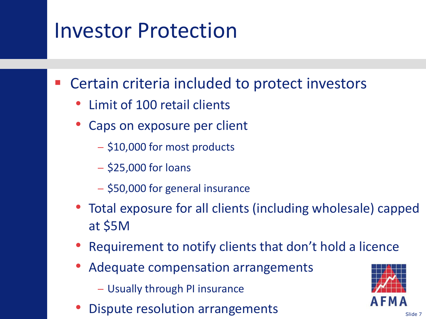#### Investor Protection

Certain criteria included to protect investors

- Limit of 100 retail clients
- Caps on exposure per client
	- − \$10,000 for most products
	- − \$25,000 for loans
	- − \$50,000 for general insurance
- Total exposure for all clients (including wholesale) capped at \$5M
- Requirement to notify clients that don't hold a licence
- Adequate compensation arrangements
	- − Usually through PI insurance
- Dispute resolution arrangements